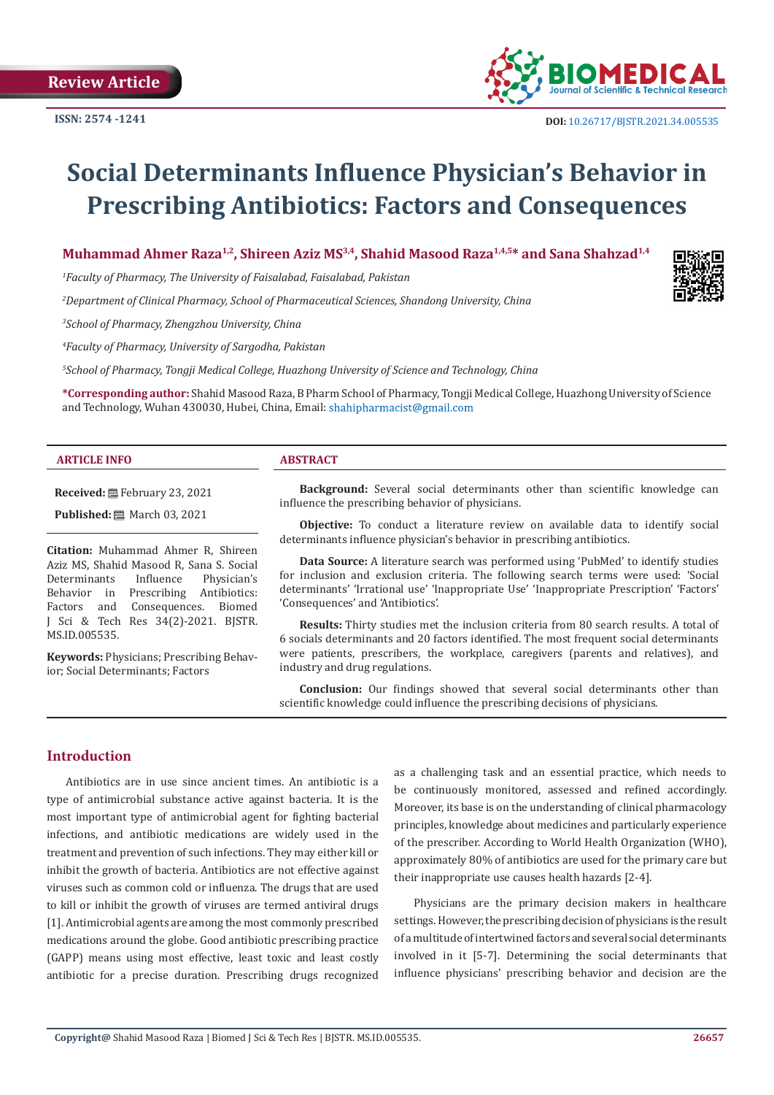**Review Article**



# **Social Determinants Influence Physician's Behavior in Prescribing Antibiotics: Factors and Consequences**

**Muhammad Ahmer Raza1,2, Shireen Aziz MS3,4, Shahid Masood Raza1,4,5\* and Sana Shahzad1,4**

*1 Faculty of Pharmacy, The University of Faisalabad, Faisalabad, Pakistan*

*2 Department of Clinical Pharmacy, School of Pharmaceutical Sciences, Shandong University, China* 

*3 School of Pharmacy, Zhengzhou University, China*

*4 Faculty of Pharmacy, University of Sargodha, Pakistan*

*5 School of Pharmacy, Tongji Medical College, Huazhong University of Science and Technology, China*

**\*Corresponding author:** Shahid Masood Raza, B Pharm School of Pharmacy, Tongji Medical College, Huazhong University of Science and Technology, Wuhan 430030, Hubei, China, Email: shahipharmacist@gmail.com

#### **ARTICLE INFO ABSTRACT**

**Received:** February 23, 2021

**Published:** ■ March 03, 2021

**Citation:** Muhammad Ahmer R, Shireen Aziz MS, Shahid Masood R, Sana S. Social Determinants Influence Physician's<br>Behavior in Prescribing Antibiotics: Behavior in Prescribing Antibiotics:<br>Factors and Consequences. Biomed Consequences. J Sci & Tech Res 34(2)-2021. BJSTR. MS.ID.005535.

**Keywords:** Physicians; Prescribing Behavior; Social Determinants; Factors

**Background:** Several social determinants other than scientific knowledge can influence the prescribing behavior of physicians.

**Objective:** To conduct a literature review on available data to identify social determinants influence physician's behavior in prescribing antibiotics.

**Data Source:** A literature search was performed using 'PubMed' to identify studies for inclusion and exclusion criteria. The following search terms were used: 'Social determinants' 'Irrational use' 'Inappropriate Use' 'Inappropriate Prescription' 'Factors' 'Consequences' and 'Antibiotics'.

**Results:** Thirty studies met the inclusion criteria from 80 search results. A total of 6 socials determinants and 20 factors identified. The most frequent social determinants were patients, prescribers, the workplace, caregivers (parents and relatives), and industry and drug regulations.

**Conclusion:** Our findings showed that several social determinants other than scientific knowledge could influence the prescribing decisions of physicians.

# **Introduction**

Antibiotics are in use since ancient times. An antibiotic is a type of antimicrobial substance active against bacteria. It is the most important type of antimicrobial agent for fighting bacterial infections, and antibiotic medications are widely used in the treatment and prevention of such infections. They may either kill or inhibit the growth of bacteria. Antibiotics are not effective against viruses such as common cold or influenza. The drugs that are used to kill or inhibit the growth of viruses are termed antiviral drugs [1]. Antimicrobial agents are among the most commonly prescribed medications around the globe. Good antibiotic prescribing practice (GAPP) means using most effective, least toxic and least costly antibiotic for a precise duration. Prescribing drugs recognized

as a challenging task and an essential practice, which needs to be continuously monitored, assessed and refined accordingly. Moreover, its base is on the understanding of clinical pharmacology principles, knowledge about medicines and particularly experience of the prescriber. According to World Health Organization (WHO), approximately 80% of antibiotics are used for the primary care but their inappropriate use causes health hazards [2-4].

Physicians are the primary decision makers in healthcare settings. However, the prescribing decision of physicians is the result of a multitude of intertwined factors and several social determinants involved in it [5-7]. Determining the social determinants that influence physicians' prescribing behavior and decision are the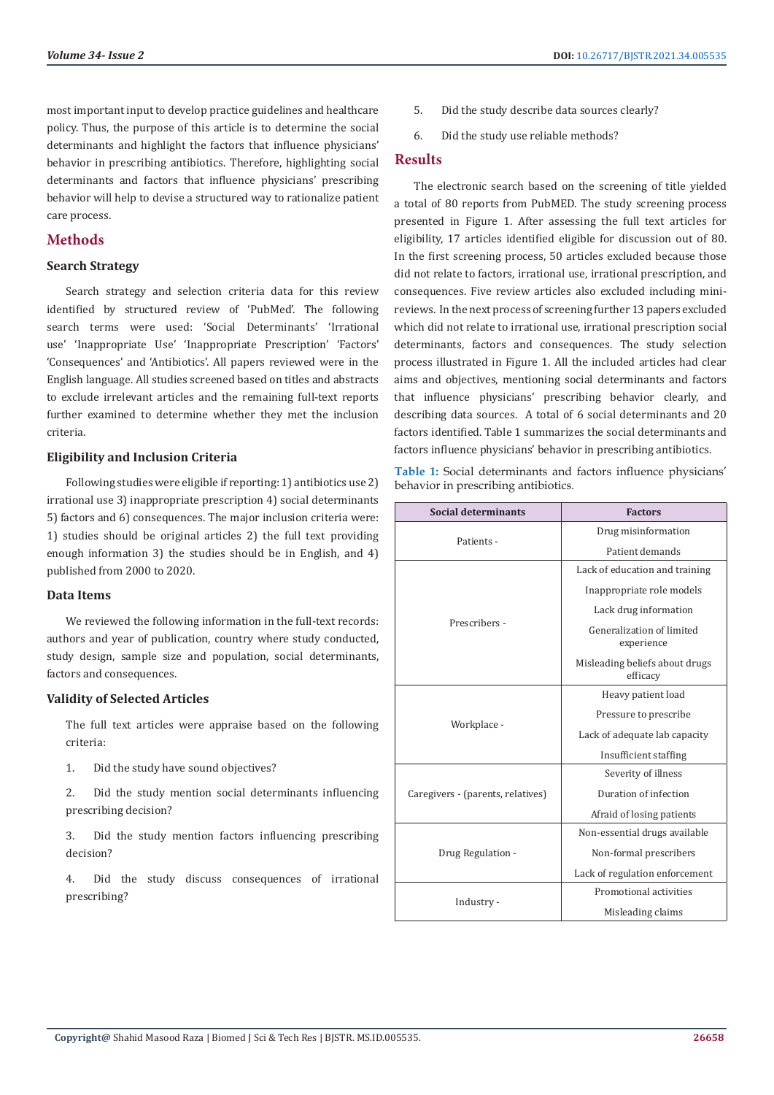most important input to develop practice guidelines and healthcare policy. Thus, the purpose of this article is to determine the social determinants and highlight the factors that influence physicians' behavior in prescribing antibiotics. Therefore, highlighting social determinants and factors that influence physicians' prescribing behavior will help to devise a structured way to rationalize patient care process.

# **Methods**

#### **Search Strategy**

Search strategy and selection criteria data for this review identified by structured review of 'PubMed'. The following search terms were used: 'Social Determinants' 'Irrational use' 'Inappropriate Use' 'Inappropriate Prescription' 'Factors' 'Consequences' and 'Antibiotics'. All papers reviewed were in the English language. All studies screened based on titles and abstracts to exclude irrelevant articles and the remaining full-text reports further examined to determine whether they met the inclusion criteria.

#### **Eligibility and Inclusion Criteria**

Following studies were eligible if reporting: 1) antibiotics use 2) irrational use 3) inappropriate prescription 4) social determinants 5) factors and 6) consequences. The major inclusion criteria were: 1) studies should be original articles 2) the full text providing enough information 3) the studies should be in English, and 4) published from 2000 to 2020.

### **Data Items**

We reviewed the following information in the full-text records: authors and year of publication, country where study conducted, study design, sample size and population, social determinants, factors and consequences.

#### **Validity of Selected Articles**

The full text articles were appraise based on the following criteria:

- 1. Did the study have sound objectives?
- 2. Did the study mention social determinants influencing prescribing decision?

3. Did the study mention factors influencing prescribing decision?

4. Did the study discuss consequences of irrational prescribing?

- 5. Did the study describe data sources clearly?
- 6. Did the study use reliable methods?

#### **Results**

The electronic search based on the screening of title yielded a total of 80 reports from PubMED. The study screening process presented in Figure 1. After assessing the full text articles for eligibility, 17 articles identified eligible for discussion out of 80. In the first screening process, 50 articles excluded because those did not relate to factors, irrational use, irrational prescription, and consequences. Five review articles also excluded including minireviews. In the next process of screening further 13 papers excluded which did not relate to irrational use, irrational prescription social determinants, factors and consequences. The study selection process illustrated in Figure 1. All the included articles had clear aims and objectives, mentioning social determinants and factors that influence physicians' prescribing behavior clearly, and describing data sources. A total of 6 social determinants and 20 factors identified. Table 1 summarizes the social determinants and factors influence physicians' behavior in prescribing antibiotics.

**Table 1:** Social determinants and factors influence physicians' behavior in prescribing antibiotics.

| <b>Social determinants</b>        | <b>Factors</b>                             |
|-----------------------------------|--------------------------------------------|
| Patients -                        | Drug misinformation                        |
|                                   | Patient demands                            |
| Prescribers -                     | Lack of education and training             |
|                                   | Inappropriate role models                  |
|                                   | Lack drug information                      |
|                                   | Generalization of limited<br>experience    |
|                                   | Misleading beliefs about drugs<br>efficacy |
| Workplace -                       | Heavy patient load                         |
|                                   | Pressure to prescribe                      |
|                                   | Lack of adequate lab capacity              |
|                                   | Insufficient staffing                      |
| Caregivers - (parents, relatives) | Severity of illness                        |
|                                   | Duration of infection                      |
|                                   | Afraid of losing patients                  |
| Drug Regulation -                 | Non-essential drugs available              |
|                                   | Non-formal prescribers                     |
|                                   | Lack of regulation enforcement             |
| Industry -                        | Promotional activities                     |
|                                   | Misleading claims                          |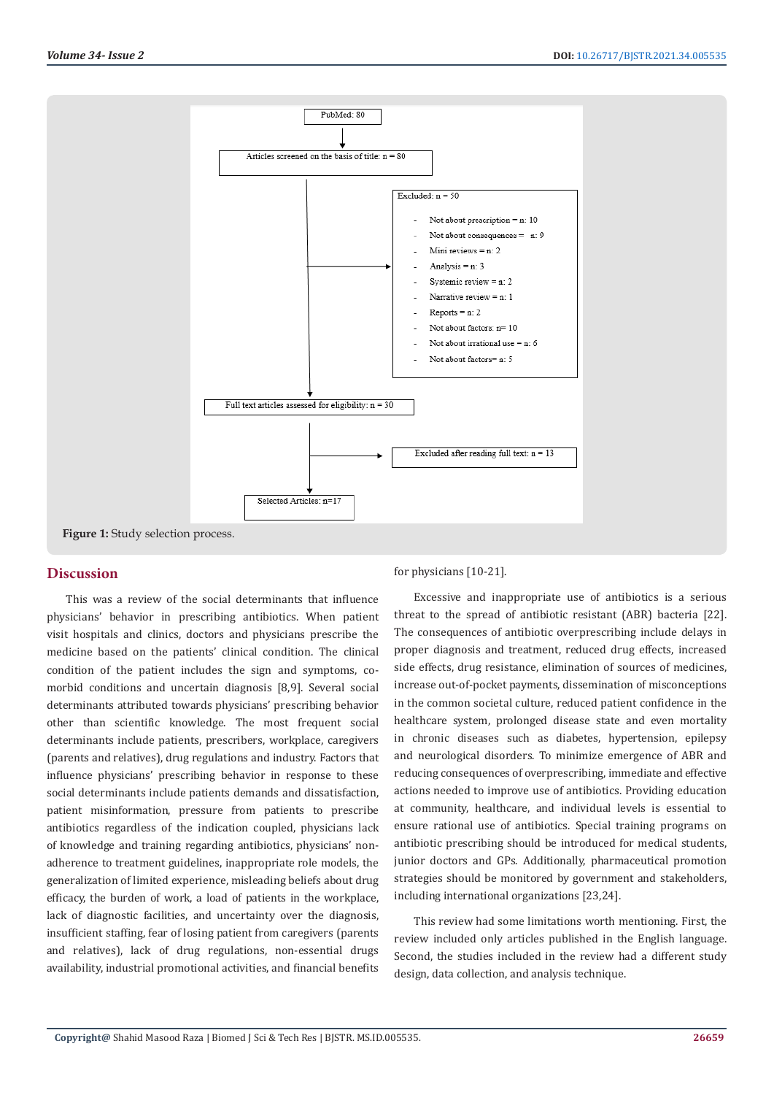

#### **Discussion**

This was a review of the social determinants that influence physicians' behavior in prescribing antibiotics. When patient visit hospitals and clinics, doctors and physicians prescribe the medicine based on the patients' clinical condition. The clinical condition of the patient includes the sign and symptoms, comorbid conditions and uncertain diagnosis [8,9]. Several social determinants attributed towards physicians' prescribing behavior other than scientific knowledge. The most frequent social determinants include patients, prescribers, workplace, caregivers (parents and relatives), drug regulations and industry. Factors that influence physicians' prescribing behavior in response to these social determinants include patients demands and dissatisfaction, patient misinformation, pressure from patients to prescribe antibiotics regardless of the indication coupled, physicians lack of knowledge and training regarding antibiotics, physicians' nonadherence to treatment guidelines, inappropriate role models, the generalization of limited experience, misleading beliefs about drug efficacy, the burden of work, a load of patients in the workplace, lack of diagnostic facilities, and uncertainty over the diagnosis, insufficient staffing, fear of losing patient from caregivers (parents and relatives), lack of drug regulations, non-essential drugs availability, industrial promotional activities, and financial benefits

for physicians [10-21].

Excessive and inappropriate use of antibiotics is a serious threat to the spread of antibiotic resistant (ABR) bacteria [22]. The consequences of antibiotic overprescribing include delays in proper diagnosis and treatment, reduced drug effects, increased side effects, drug resistance, elimination of sources of medicines, increase out-of-pocket payments, dissemination of misconceptions in the common societal culture, reduced patient confidence in the healthcare system, prolonged disease state and even mortality in chronic diseases such as diabetes, hypertension, epilepsy and neurological disorders. To minimize emergence of ABR and reducing consequences of overprescribing, immediate and effective actions needed to improve use of antibiotics. Providing education at community, healthcare, and individual levels is essential to ensure rational use of antibiotics. Special training programs on antibiotic prescribing should be introduced for medical students, junior doctors and GPs. Additionally, pharmaceutical promotion strategies should be monitored by government and stakeholders, including international organizations [23,24].

This review had some limitations worth mentioning. First, the review included only articles published in the English language. Second, the studies included in the review had a different study design, data collection, and analysis technique.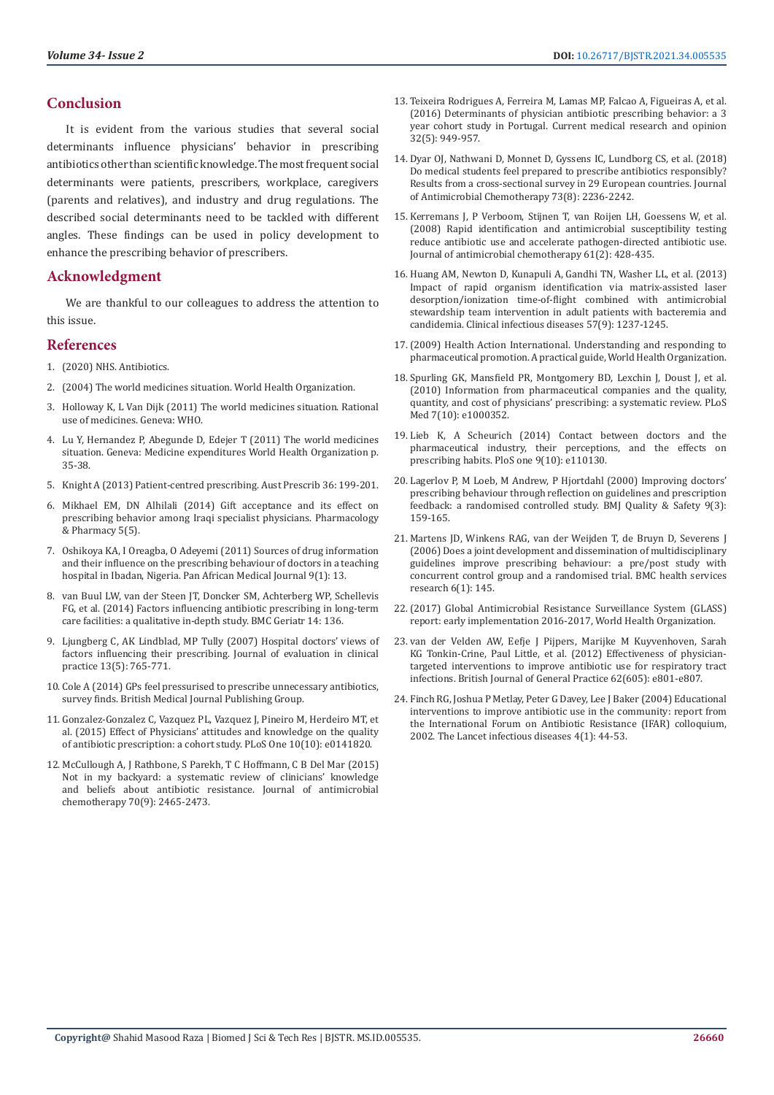# **Conclusion**

It is evident from the various studies that several social determinants influence physicians' behavior in prescribing antibiotics other than scientific knowledge. The most frequent social determinants were patients, prescribers, workplace, caregivers (parents and relatives), and industry and drug regulations. The described social determinants need to be tackled with different angles. These findings can be used in policy development to enhance the prescribing behavior of prescribers.

# **Acknowledgment**

We are thankful to our colleagues to address the attention to this issue.

#### **References**

- 1. [\(2020\) NHS. Antibiotics.](https://www.nhs.uk/conditions/antibiotics/)
- 2. [\(2004\) The world medicines situation. World Health Organization.](https://apps.who.int/iris/bitstream/handle/10665/68735/WHO_EDM_PAR_2004.5.pdf)
- 3. [Holloway K, L Van Dijk \(2011\) The world medicines situation. Rational](http://digicollection.org/hss/documents/s18767en/s18767en.pdf)  [use of medicines. Geneva: WHO.](http://digicollection.org/hss/documents/s18767en/s18767en.pdf)
- 4. [Lu Y, Hernandez P, Abegunde D, Edejer T \(2011\) The world medicines](https://www.who.int/health-accounts/documentation/world_medicine_situation.pdf?ua%2520&hx003D%3B1)  [situation. Geneva: Medicine expenditures World Health Organization p.](https://www.who.int/health-accounts/documentation/world_medicine_situation.pdf?ua%2520&hx003D%3B1)  [35-38.](https://www.who.int/health-accounts/documentation/world_medicine_situation.pdf?ua%2520&hx003D%3B1)
- 5. [Knight A \(2013\) Patient-centred prescribing. Aust Prescrib 36: 199-201.](https://www.nps.org.au/australian-prescriber/articles/patient-centred-prescribing)
- 6. [Mikhael EM, DN Alhilali \(2014\) Gift acceptance and its effect on](https://www.researchgate.net/publication/269692091_Gift_Acceptance_and_Its_Effect_on_Prescribing_Behavior_among_Iraqi_Specialist_Physicians)  [prescribing behavior among Iraqi specialist physicians. Pharmacology](https://www.researchgate.net/publication/269692091_Gift_Acceptance_and_Its_Effect_on_Prescribing_Behavior_among_Iraqi_Specialist_Physicians)  [& Pharmacy 5\(5\).](https://www.researchgate.net/publication/269692091_Gift_Acceptance_and_Its_Effect_on_Prescribing_Behavior_among_Iraqi_Specialist_Physicians)
- 7. [Oshikoya KA, I Oreagba, O Adeyemi \(2011\) Sources of drug information](https://www.ncbi.nlm.nih.gov/pmc/articles/PMC3215535/)  [and their influence on the prescribing behaviour of doctors in a teaching](https://www.ncbi.nlm.nih.gov/pmc/articles/PMC3215535/)  [hospital in Ibadan, Nigeria. Pan African Medical Journal 9\(1\): 13.](https://www.ncbi.nlm.nih.gov/pmc/articles/PMC3215535/)
- 8. [van Buul LW, van der Steen JT, Doncker SM, Achterberg WP, Schellevis](https://pubmed.ncbi.nlm.nih.gov/25514874/)  [FG, et al. \(2014\) Factors influencing antibiotic prescribing in long-term](https://pubmed.ncbi.nlm.nih.gov/25514874/)  [care facilities: a qualitative in-depth study. BMC Geriatr 14: 136.](https://pubmed.ncbi.nlm.nih.gov/25514874/)
- 9. [Ljungberg C, AK Lindblad, MP Tully \(2007\) Hospital doctors' views of](https://pubmed.ncbi.nlm.nih.gov/17824870/)  [factors influencing their prescribing. Journal of evaluation in clinical](https://pubmed.ncbi.nlm.nih.gov/17824870/)  [practice 13\(5\): 765-771.](https://pubmed.ncbi.nlm.nih.gov/17824870/)
- 10. [Cole A \(2014\) GPs feel pressurised to prescribe unnecessary antibiotics,](https://www.bmj.com/content/349/bmj.g5238)  [survey finds. British Medical Journal Publishing Group.](https://www.bmj.com/content/349/bmj.g5238)
- 11. [Gonzalez-Gonzalez C, Vazquez PL, Vazquez J, Pineiro M, Herdeiro MT, et](https://www.researchgate.net/publication/283305555_Effect_of_Physicians)  [al. \(2015\) Effect of Physicians' attitudes and knowledge on the quality](https://www.researchgate.net/publication/283305555_Effect_of_Physicians)  [of antibiotic prescription: a cohort study. PLoS One 10\(10\): e0141820.](https://www.researchgate.net/publication/283305555_Effect_of_Physicians)
- 12. [McCullough A, J Rathbone, S Parekh, T C Hoffmann, C B Del Mar \(2015\)](https://pubmed.ncbi.nlm.nih.gov/26093375/)  [Not in my backyard: a systematic review of clinicians' knowledge](https://pubmed.ncbi.nlm.nih.gov/26093375/)  [and beliefs about antibiotic resistance. Journal of antimicrobial](https://pubmed.ncbi.nlm.nih.gov/26093375/)  [chemotherapy 70\(9\): 2465-2473.](https://pubmed.ncbi.nlm.nih.gov/26093375/)
- 13. [Teixeira Rodrigues A, Ferreira M, Lamas MP, Falcao A, Figueiras A, et al.](https://pubmed.ncbi.nlm.nih.gov/26878083/) [\(2016\) Determinants of physician antibiotic prescribing behavior: a 3](https://pubmed.ncbi.nlm.nih.gov/26878083/) [year cohort study in Portugal. Current medical research and opinion](https://pubmed.ncbi.nlm.nih.gov/26878083/) [32\(5\): 949-957.](https://pubmed.ncbi.nlm.nih.gov/26878083/)
- 14. [Dyar OJ, Nathwani D, Monnet D, Gyssens IC, Lundborg CS, et al. \(2018\)](https://www.researchgate.net/publication/325091780_Do_medical_students_feel_prepared_to_prescribe_antibiotics_responsibly_Results_from_a_cross-sectional_survey_in_29_European_countries) [Do medical students feel prepared to prescribe antibiotics responsibly?](https://www.researchgate.net/publication/325091780_Do_medical_students_feel_prepared_to_prescribe_antibiotics_responsibly_Results_from_a_cross-sectional_survey_in_29_European_countries) [Results from a cross-sectional survey in 29 European countries. Journal](https://www.researchgate.net/publication/325091780_Do_medical_students_feel_prepared_to_prescribe_antibiotics_responsibly_Results_from_a_cross-sectional_survey_in_29_European_countries) [of Antimicrobial Chemotherapy 73\(8\): 2236-2242.](https://www.researchgate.net/publication/325091780_Do_medical_students_feel_prepared_to_prescribe_antibiotics_responsibly_Results_from_a_cross-sectional_survey_in_29_European_countries)
- 15. [Kerremans J, P Verboom, Stijnen T, van Roijen LH, Goessens W, et al.](https://www.researchgate.net/publication/5693506_Rapid_identification_and_antimicrobial_susceptibility_testing_reduce_antibiotic_use_and_accelerate_pathogen-directed_antibiotic_use) [\(2008\) Rapid identification and antimicrobial susceptibility testing](https://www.researchgate.net/publication/5693506_Rapid_identification_and_antimicrobial_susceptibility_testing_reduce_antibiotic_use_and_accelerate_pathogen-directed_antibiotic_use) [reduce antibiotic use and accelerate pathogen-directed antibiotic use.](https://www.researchgate.net/publication/5693506_Rapid_identification_and_antimicrobial_susceptibility_testing_reduce_antibiotic_use_and_accelerate_pathogen-directed_antibiotic_use) [Journal of antimicrobial chemotherapy 61\(2\): 428-435.](https://www.researchgate.net/publication/5693506_Rapid_identification_and_antimicrobial_susceptibility_testing_reduce_antibiotic_use_and_accelerate_pathogen-directed_antibiotic_use)
- 16. [Huang AM, Newton D, Kunapuli A, Gandhi TN, Washer LL, et al. \(2013\)](https://academic.oup.com/cid/article/57/9/1237/488126) [Impact of rapid organism identification via matrix-assisted laser](https://academic.oup.com/cid/article/57/9/1237/488126) [desorption/ionization time-of-flight combined with antimicrobial](https://academic.oup.com/cid/article/57/9/1237/488126) [stewardship team intervention in adult patients with bacteremia and](https://academic.oup.com/cid/article/57/9/1237/488126) [candidemia. Clinical infectious diseases 57\(9\): 1237-1245.](https://academic.oup.com/cid/article/57/9/1237/488126)
- 17.[\(2009\) Health Action International. Understanding and responding to](https://haiweb.org/what-we-do/pharmaceutical-marketing/guides/) [pharmaceutical promotion. A practical guide, World Health Organization.](https://haiweb.org/what-we-do/pharmaceutical-marketing/guides/)
- 18. [Spurling GK, Mansfield PR, Montgomery BD, Lexchin J, Doust J, et al.](https://pubmed.ncbi.nlm.nih.gov/20976098/) [\(2010\) Information from pharmaceutical companies and the quality,](https://pubmed.ncbi.nlm.nih.gov/20976098/) [quantity, and cost of physicians' prescribing: a systematic review. PLoS](https://pubmed.ncbi.nlm.nih.gov/20976098/) [Med 7\(10\): e1000352.](https://pubmed.ncbi.nlm.nih.gov/20976098/)
- 19. [Lieb K, A Scheurich \(2014\) Contact between doctors and the](https://www.researchgate.net/publication/267103217_Contact_between_Doctors_and_the_Pharmaceutical_Industry_Their_Perceptions_and_the_Effects_on_Prescribing_Habits) [pharmaceutical industry, their perceptions, and the effects on](https://www.researchgate.net/publication/267103217_Contact_between_Doctors_and_the_Pharmaceutical_Industry_Their_Perceptions_and_the_Effects_on_Prescribing_Habits) [prescribing habits. PloS one 9\(10\): e110130.](https://www.researchgate.net/publication/267103217_Contact_between_Doctors_and_the_Pharmaceutical_Industry_Their_Perceptions_and_the_Effects_on_Prescribing_Habits)
- 20. [Lagerlov P, M Loeb, M Andrew, P Hjortdahl \(2000\) Improving doctors'](https://pubmed.ncbi.nlm.nih.gov/10980076/) [prescribing behaviour through reflection on guidelines and prescription](https://pubmed.ncbi.nlm.nih.gov/10980076/) [feedback: a randomised controlled study. BMJ Quality & Safety 9\(3\):](https://pubmed.ncbi.nlm.nih.gov/10980076/) [159-165.](https://pubmed.ncbi.nlm.nih.gov/10980076/)
- 21. [Martens JD, Winkens RAG, van der Weijden T, de Bruyn D, Severens J](https://pubmed.ncbi.nlm.nih.gov/17081285/) [\(2006\) Does a joint development and dissemination of multidisciplinary](https://pubmed.ncbi.nlm.nih.gov/17081285/) [guidelines improve prescribing behaviour: a pre/post study with](https://pubmed.ncbi.nlm.nih.gov/17081285/) [concurrent control group and a randomised trial. BMC health services](https://pubmed.ncbi.nlm.nih.gov/17081285/) [research 6\(1\): 145.](https://pubmed.ncbi.nlm.nih.gov/17081285/)
- 22.[\(2017\) Global Antimicrobial Resistance Surveillance System \(GLASS\)](https://www.who.int/glass/resources/publications/early-implementation-report/en/) [report: early implementation 2016-2017, World Health Organization.](https://www.who.int/glass/resources/publications/early-implementation-report/en/)
- 23. [van der Velden AW, Eefje J Pijpers, Marijke M Kuyvenhoven, Sarah](https://www.ncbi.nlm.nih.gov/pmc/articles/PMC3505412/) [KG Tonkin-Crine, Paul Little, et al. \(2012\) Effectiveness of physician](https://www.ncbi.nlm.nih.gov/pmc/articles/PMC3505412/)[targeted interventions to improve antibiotic use for respiratory tract](https://www.ncbi.nlm.nih.gov/pmc/articles/PMC3505412/) [infections. British Journal of General Practice 62\(605\): e801-e807.](https://www.ncbi.nlm.nih.gov/pmc/articles/PMC3505412/)
- 24. [Finch RG, Joshua P Metlay, Peter G Davey, Lee J Baker \(2004\) Educational](https://pubmed.ncbi.nlm.nih.gov/14720568/) [interventions to improve antibiotic use in the community: report from](https://pubmed.ncbi.nlm.nih.gov/14720568/) [the International Forum on Antibiotic Resistance \(IFAR\) colloquium,](https://pubmed.ncbi.nlm.nih.gov/14720568/) [2002. The Lancet infectious diseases 4\(1\): 44-53.](https://pubmed.ncbi.nlm.nih.gov/14720568/)